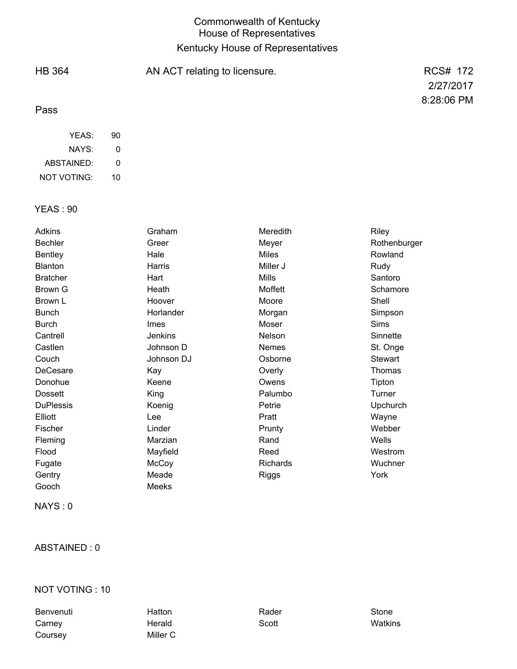## Commonwealth of Kentucky House of Representatives Kentucky House of Representatives

90 HB 364 Pass AN ACT relating to licensure. The contract of the RCS# 172 2/27/2017 8:28:06 PM YEAS:

| NAYS:              | O  |
|--------------------|----|
| ABSTAINED:         | O  |
| <b>NOT VOTING:</b> | 10 |

## YEAS : 90

| Adkins           | Graham      | Meredith     | Riley           |
|------------------|-------------|--------------|-----------------|
| <b>Bechler</b>   | Greer       | Meyer        | Rothenburger    |
| <b>Bentley</b>   | Hale        | <b>Miles</b> | Rowland         |
| <b>Blanton</b>   | Harris      | Miller J     | Rudy            |
| <b>Bratcher</b>  | Hart        | <b>Mills</b> | Santoro         |
| Brown G          | Heath       | Moffett      | Schamore        |
| Brown L          | Hoover      | Moore        | Shell           |
| <b>Bunch</b>     | Horlander   | Morgan       | Simpson         |
| Burch            | <b>Imes</b> | Moser        | <b>Sims</b>     |
| Cantrell         | Jenkins     | Nelson       | Sinnette        |
| Castlen          | Johnson D   | Nemes        | St. Onge        |
| Couch            | Johnson DJ  | Osborne      | Stewart         |
| DeCesare         | Kay         | Overly       | Thomas          |
| Donohue          | Keene       | Owens        | Tipton          |
| <b>Dossett</b>   | King        | Palumbo      | Turner          |
| <b>DuPlessis</b> | Koenig      | Petrie       | <b>Upchurch</b> |
| Elliott          | Lee         | Pratt        | Wayne           |
| Fischer          | Linder      | Prunty       | Webber          |
| Fleming          | Marzian     | Rand         | Wells           |
| Flood            | Mayfield    | Reed         | Westrom         |
| Fugate           | McCoy       | Richards     | Wuchner         |
| Gentry           | Meade       | Riggs        | York            |
| Gooch            | Meeks       |              |                 |
|                  |             |              |                 |

NAYS : 0

## ABSTAINED : 0

#### NOT VOTING : 10

Benvenuti Hatton Rader Stone Carney Herald Scott Watkins Coursey Miller C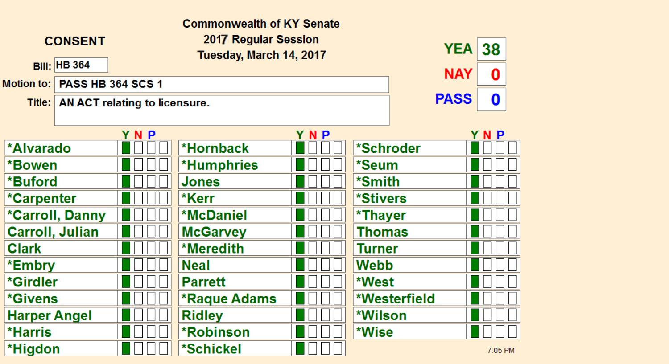| <b>Commonwealth of KY Senate</b> |                          |                                                 |                     |     |                        |              |         |  |
|----------------------------------|--------------------------|-------------------------------------------------|---------------------|-----|------------------------|--------------|---------|--|
|                                  | <b>CONSENT</b>           | 2017 Regular Session<br>Tuesday, March 14, 2017 |                     |     | <b>YEA</b>             | 38           |         |  |
|                                  | <b>Bill: HB 364</b>      |                                                 |                     |     |                        | <b>NAY</b>   | 0       |  |
| <b>Motion to:</b>                | <b>PASS HB 364 SCS 1</b> |                                                 |                     |     |                        |              |         |  |
|                                  |                          | Title:   AN ACT relating to licensure.          |                     |     |                        | <b>PASS</b>  | 0       |  |
|                                  |                          |                                                 |                     |     |                        |              |         |  |
|                                  |                          | YNP                                             |                     | YNP |                        |              | YNP     |  |
| <b>*Alvarado</b>                 |                          |                                                 | *Hornback           |     | *Schroder              |              |         |  |
| *Bowen                           |                          |                                                 | <b>*Humphries</b>   |     | *Seum                  |              |         |  |
| *Buford                          |                          |                                                 | <b>Jones</b>        |     | *Smith                 |              |         |  |
| *Carpenter                       |                          |                                                 | *Kerr               |     | <i><b>*Stivers</b></i> |              |         |  |
|                                  | <b>*Carroll, Danny</b>   |                                                 | <b>*McDaniel</b>    |     | *Thayer                |              |         |  |
| <b>Carroll, Julian</b>           |                          |                                                 | <b>McGarvey</b>     |     | <b>Thomas</b>          |              |         |  |
| <b>Clark</b>                     |                          |                                                 | *Meredith           |     | <b>Turner</b>          |              |         |  |
| *Embry                           |                          |                                                 | <b>Neal</b>         |     | <b>Webb</b>            |              |         |  |
| *Girdler                         |                          |                                                 | <b>Parrett</b>      |     | *West                  |              |         |  |
| <i><b>*Givens</b></i>            |                          |                                                 | <b>*Raque Adams</b> |     |                        | *Westerfield |         |  |
| <b>Harper Angel</b>              |                          |                                                 | <b>Ridley</b>       |     | *Wilson                |              |         |  |
| *Harris                          |                          |                                                 | <b>*Robinson</b>    |     | *Wise                  |              |         |  |
| *Higdon                          |                          |                                                 | *Schickel           |     |                        |              | 7:05 PM |  |